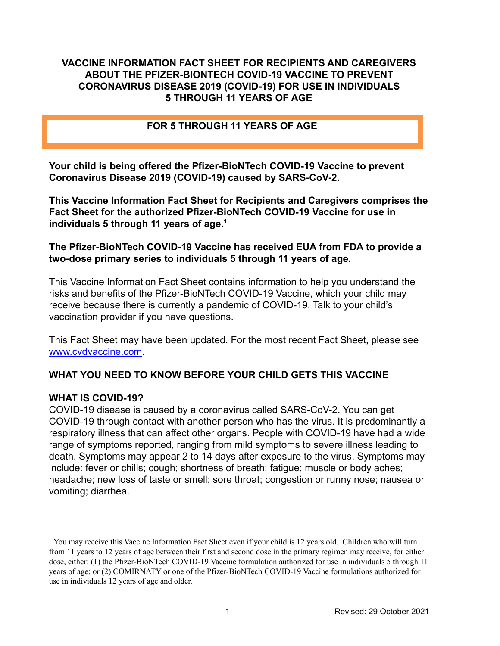#### **VACCINE INFORMATION FACT SHEET FOR RECIPIENTS AND CAREGIVERS ABOUT THE PFIZER-BIONTECH COVID-19 VACCINE TO PREVENT CORONAVIRUS DISEASE 2019 (COVID-19) FOR USE IN INDIVIDUALS 5 THROUGH 11 YEARS OF AGE**

#### **FOR 5 THROUGH 11 YEARS OF AGE**

**Your child is being offered the Pfizer-BioNTech COVID-19 Vaccine to prevent Coronavirus Disease 2019 (COVID-19) caused by SARS-CoV-2.**

**This Vaccine Information Fact Sheet for Recipients and Caregivers comprises the Fact Sheet for the authorized Pfizer-BioNTech COVID-19 Vaccine for use in individuals 5 through 11 years of age.<sup>1</sup>**

#### **The Pfizer-BioNTech COVID-19 Vaccine has received EUA from FDA to provide a two-dose primary series to individuals 5 through 11 years of age.**

This Vaccine Information Fact Sheet contains information to help you understand the risks and benefits of the Pfizer-BioNTech COVID-19 Vaccine, which your child may receive because there is currently a pandemic of COVID-19. Talk to your child's vaccination provider if you have questions.

This Fact Sheet may have been updated. For the most recent Fact Sheet, please see [www.cvdvaccine.com](http://www.cvdvaccine.com).

#### **WHAT YOU NEED TO KNOW BEFORE YOUR CHILD GETS THIS VACCINE**

#### **WHAT IS COVID-19?**

COVID-19 disease is caused by a coronavirus called SARS-CoV-2. You can get COVID-19 through contact with another person who has the virus. It is predominantly a respiratory illness that can affect other organs. People with COVID-19 have had a wide range of symptoms reported, ranging from mild symptoms to severe illness leading to death. Symptoms may appear 2 to 14 days after exposure to the virus. Symptoms may include: fever or chills; cough; shortness of breath; fatigue; muscle or body aches; headache; new loss of taste or smell; sore throat; congestion or runny nose; nausea or vomiting; diarrhea.

<sup>&</sup>lt;sup>1</sup> You may receive this Vaccine Information Fact Sheet even if your child is 12 years old. Children who will turn from 11 years to 12 years of age between their first and second dose in the primary regimen may receive, for either dose, either: (1) the Pfizer-BioNTech COVID-19 Vaccine formulation authorized for use in individuals 5 through 11 years of age; or (2) COMIRNATY or one of the Pfizer-BioNTech COVID-19 Vaccine formulations authorized for use in individuals 12 years of age and older.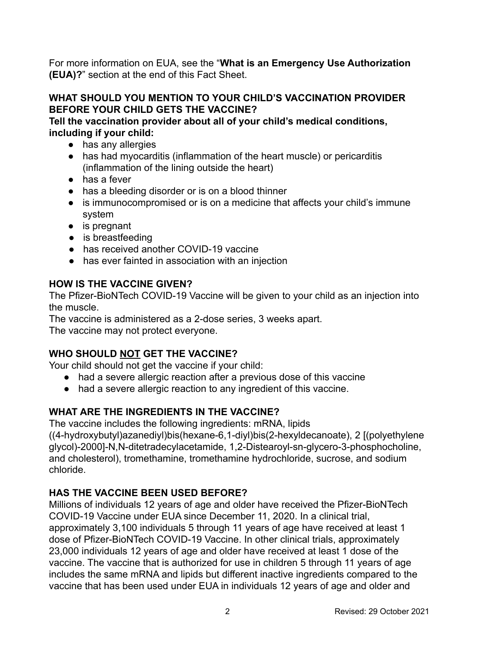For more information on EUA, see the "**What is an Emergency Use Authorization (EUA)?**" section at the end of this Fact Sheet.

#### **WHAT SHOULD YOU MENTION TO YOUR CHILD'S VACCINATION PROVIDER BEFORE YOUR CHILD GETS THE VACCINE?**

**Tell the vaccination provider about all of your child's medical conditions, including if your child:**

- has any allergies
- has had myocarditis (inflammation of the heart muscle) or pericarditis (inflammation of the lining outside the heart)
- has a fever
- has a bleeding disorder or is on a blood thinner
- is immunocompromised or is on a medicine that affects your child's immune system
- is pregnant
- is breastfeeding
- has received another COVID-19 vaccine
- has ever fainted in association with an injection

## **HOW IS THE VACCINE GIVEN?**

The Pfizer-BioNTech COVID-19 Vaccine will be given to your child as an injection into the muscle.

The vaccine is administered as a 2-dose series, 3 weeks apart. The vaccine may not protect everyone.

# **WHO SHOULD NOT GET THE VACCINE?**

Your child should not get the vaccine if your child:

- had a severe allergic reaction after a previous dose of this vaccine
- had a severe allergic reaction to any ingredient of this vaccine.

## **WHAT ARE THE INGREDIENTS IN THE VACCINE?**

The vaccine includes the following ingredients: mRNA, lipids ((4-hydroxybutyl)azanediyl)bis(hexane-6,1-diyl)bis(2-hexyldecanoate), 2 [(polyethylene glycol)-2000]-N,N-ditetradecylacetamide, 1,2-Distearoyl-sn-glycero-3-phosphocholine, and cholesterol), tromethamine, tromethamine hydrochloride, sucrose, and sodium chloride.

# **HAS THE VACCINE BEEN USED BEFORE?**

Millions of individuals 12 years of age and older have received the Pfizer-BioNTech COVID-19 Vaccine under EUA since December 11, 2020. In a clinical trial, approximately 3,100 individuals 5 through 11 years of age have received at least 1 dose of Pfizer-BioNTech COVID-19 Vaccine. In other clinical trials, approximately 23,000 individuals 12 years of age and older have received at least 1 dose of the vaccine. The vaccine that is authorized for use in children 5 through 11 years of age includes the same mRNA and lipids but different inactive ingredients compared to the vaccine that has been used under EUA in individuals 12 years of age and older and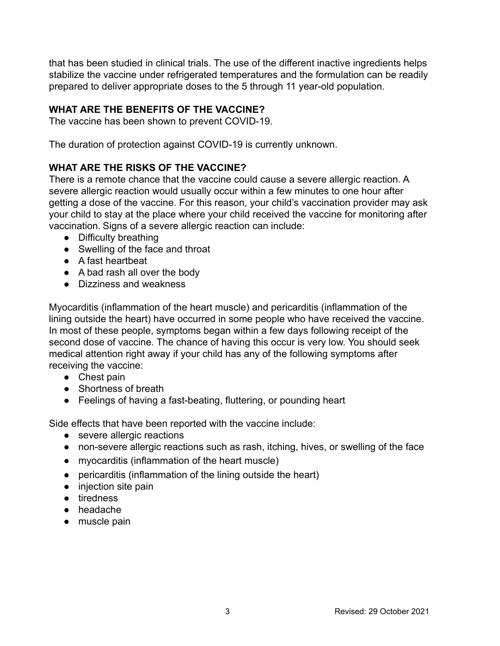that has been studied in clinical trials. The use of the different inactive ingredients helps stabilize the vaccine under refrigerated temperatures and the formulation can be readily prepared to deliver appropriate doses to the 5 through 11 year-old population.

## **WHAT ARE THE BENEFITS OF THE VACCINE?**

The vaccine has been shown to prevent COVID-19.

The duration of protection against COVID-19 is currently unknown.

## **WHAT ARE THE RISKS OF THE VACCINE?**

There is a remote chance that the vaccine could cause a severe allergic reaction. A severe allergic reaction would usually occur within a few minutes to one hour after getting a dose of the vaccine. For this reason, your child's vaccination provider may ask your child to stay at the place where your child received the vaccine for monitoring after vaccination. Signs of a severe allergic reaction can include:

- Difficulty breathing
- Swelling of the face and throat
- A fast heartbeat
- A bad rash all over the body
- Dizziness and weakness

Myocarditis (inflammation of the heart muscle) and pericarditis (inflammation of the lining outside the heart) have occurred in some people who have received the vaccine. In most of these people, symptoms began within a few days following receipt of the second dose of vaccine. The chance of having this occur is very low. You should seek medical attention right away if your child has any of the following symptoms after receiving the vaccine:

- Chest pain
- Shortness of breath
- Feelings of having a fast-beating, fluttering, or pounding heart

Side effects that have been reported with the vaccine include:

- severe allergic reactions
- non-severe allergic reactions such as rash, itching, hives, or swelling of the face
- myocarditis (inflammation of the heart muscle)
- pericarditis (inflammation of the lining outside the heart)
- injection site pain
- tiredness
- headache
- muscle pain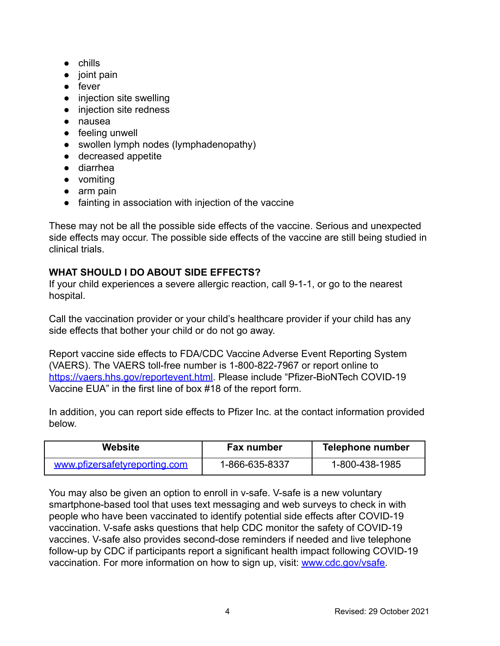- chills
- joint pain
- fever
- injection site swelling
- injection site redness
- nausea
- feeling unwell
- swollen lymph nodes (lymphadenopathy)
- decreased appetite
- diarrhea
- vomiting
- arm pain
- fainting in association with injection of the vaccine

These may not be all the possible side effects of the vaccine. Serious and unexpected side effects may occur. The possible side effects of the vaccine are still being studied in clinical trials.

#### **WHAT SHOULD I DO ABOUT SIDE EFFECTS?**

If your child experiences a severe allergic reaction, call 9-1-1, or go to the nearest hospital.

Call the vaccination provider or your child's healthcare provider if your child has any side effects that bother your child or do not go away.

Report vaccine side effects to FDA/CDC Vaccine Adverse Event Reporting System (VAERS). The VAERS toll-free number is 1-800-822-7967 or report online to [https://vaers.hhs.gov/reportevent.html.](https://vaers.hhs.gov/reportevent.html) Please include "Pfizer-BioNTech COVID-19 Vaccine EUA" in the first line of box #18 of the report form.

In addition, you can report side effects to Pfizer Inc. at the contact information provided below.

| Website                       | Fax number     | <b>Telephone number</b> |
|-------------------------------|----------------|-------------------------|
| www.pfizersafetyreporting.com | 1-866-635-8337 | 1-800-438-1985          |

You may also be given an option to enroll in v-safe. V-safe is a new voluntary smartphone-based tool that uses text messaging and web surveys to check in with people who have been vaccinated to identify potential side effects after COVID-19 vaccination. V-safe asks questions that help CDC monitor the safety of COVID-19 vaccines. V-safe also provides second-dose reminders if needed and live telephone follow-up by CDC if participants report a significant health impact following COVID-19 vaccination. For more information on how to sign up, visit: [www.cdc.gov/vsafe.](https://urldefense.proofpoint.com/v2/url?u=http-3A__www.cdc.gov_vsafe&d=DwMF-g&c=UE1eNsedaKncO0Yl_u8bfw&r=iggimxFo1bnCoTNHtFHht7zBjWLmMD5xyYOHusHEMRA&m=NUusRcDWxrAYwskpVPikFjIp1YMB1upPlqmEqHLqywo&s=ZgZDg3kpZyGQV82QCF-MKAMdQ9UDWQqf3K-6eMVizRE&e=)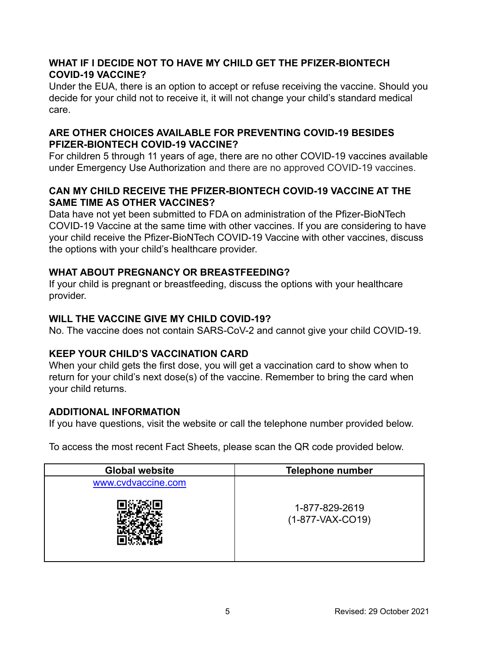#### **WHAT IF I DECIDE NOT TO HAVE MY CHILD GET THE PFIZER-BIONTECH COVID-19 VACCINE?**

Under the EUA, there is an option to accept or refuse receiving the vaccine. Should you decide for your child not to receive it, it will not change your child's standard medical care.

#### **ARE OTHER CHOICES AVAILABLE FOR PREVENTING COVID-19 BESIDES PFIZER-BIONTECH COVID-19 VACCINE?**

For children 5 through 11 years of age, there are no other COVID-19 vaccines available under Emergency Use Authorization and there are no approved COVID-19 vaccines.

#### **CAN MY CHILD RECEIVE THE PFIZER-BIONTECH COVID-19 VACCINE AT THE SAME TIME AS OTHER VACCINES?**

Data have not yet been submitted to FDA on administration of the Pfizer-BioNTech COVID-19 Vaccine at the same time with other vaccines. If you are considering to have your child receive the Pfizer-BioNTech COVID-19 Vaccine with other vaccines, discuss the options with your child's healthcare provider.

## **WHAT ABOUT PREGNANCY OR BREASTFEEDING?**

If your child is pregnant or breastfeeding, discuss the options with your healthcare provider.

#### **WILL THE VACCINE GIVE MY CHILD COVID-19?**

No. The vaccine does not contain SARS-CoV-2 and cannot give your child COVID-19.

## **KEEP YOUR CHILD'S VACCINATION CARD**

When your child gets the first dose, you will get a vaccination card to show when to return for your child's next dose(s) of the vaccine. Remember to bring the card when your child returns.

#### **ADDITIONAL INFORMATION**

If you have questions, visit the website or call the telephone number provided below.

To access the most recent Fact Sheets, please scan the QR code provided below.

| <b>Global website</b> | <b>Telephone number</b>              |  |
|-----------------------|--------------------------------------|--|
| www.cvdvaccine.com    |                                      |  |
|                       | 1-877-829-2619<br>$(1-877-VAX-CO19)$ |  |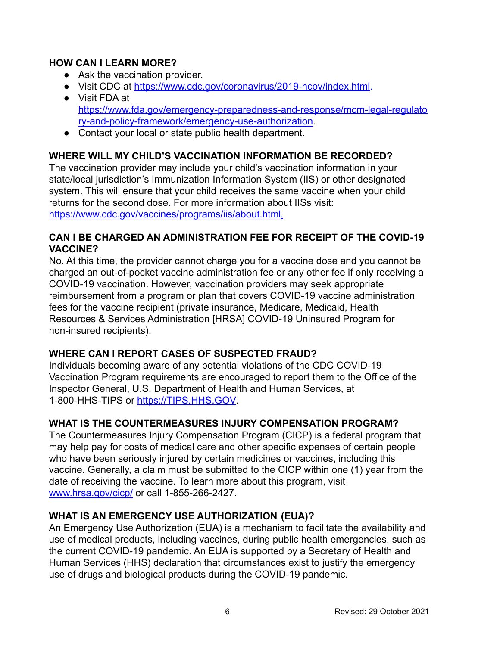#### **HOW CAN I LEARN MORE?**

- Ask the vaccination provider.
- Visit CDC at <https://www.cdc.gov/coronavirus/2019-ncov/index.html>.
- Visit FDA at [https://www.fda.gov/emergency-preparedness-and-response/mcm-legal-regulato](https://www.fda.gov/emergency-preparedness-and-response/mcm-legal-regulatory-and-policy-framework/emergency-use-authorization) [ry-and-policy-framework/emergency-use-authorization](https://www.fda.gov/emergency-preparedness-and-response/mcm-legal-regulatory-and-policy-framework/emergency-use-authorization).
- Contact your local or state public health department.

## **WHERE WILL MY CHILD'S VACCINATION INFORMATION BE RECORDED?**

The vaccination provider may include your child's vaccination information in your state/local jurisdiction's Immunization Information System (IIS) or other designated system. This will ensure that your child receives the same vaccine when your child returns for the second dose. For more information about IISs visit: <https://www.cdc.gov/vaccines/programs/iis/about.html>.

#### **CAN I BE CHARGED AN ADMINISTRATION FEE FOR RECEIPT OF THE COVID-19 VACCINE?**

No. At this time, the provider cannot charge you for a vaccine dose and you cannot be charged an out-of-pocket vaccine administration fee or any other fee if only receiving a COVID-19 vaccination. However, vaccination providers may seek appropriate reimbursement from a program or plan that covers COVID-19 vaccine administration fees for the vaccine recipient (private insurance, Medicare, Medicaid, Health Resources & Services Administration [HRSA] COVID-19 Uninsured Program for non-insured recipients).

## **WHERE CAN I REPORT CASES OF SUSPECTED FRAUD?**

Individuals becoming aware of any potential violations of the CDC COVID-19 Vaccination Program requirements are encouraged to report them to the Office of the Inspector General, U.S. Department of Health and Human Services, at 1-800-HHS-TIPS or [https://TIPS.HHS.GOV](https://tips.hhs.gov).

#### **WHAT IS THE COUNTERMEASURES INJURY COMPENSATION PROGRAM?**

The Countermeasures Injury Compensation Program (CICP) is a federal program that may help pay for costs of medical care and other specific expenses of certain people who have been seriously injured by certain medicines or vaccines, including this vaccine. Generally, a claim must be submitted to the CICP within one (1) year from the date of receiving the vaccine. To learn more about this program, visit [www.hrsa.gov/cicp/](http://www.hrsa.gov/cicp/) or call 1-855-266-2427.

#### **WHAT IS AN EMERGENCY USE AUTHORIZATION (EUA)?**

An Emergency Use Authorization (EUA) is a mechanism to facilitate the availability and use of medical products, including vaccines, during public health emergencies, such as the current COVID-19 pandemic. An EUA is supported by a Secretary of Health and Human Services (HHS) declaration that circumstances exist to justify the emergency use of drugs and biological products during the COVID-19 pandemic.